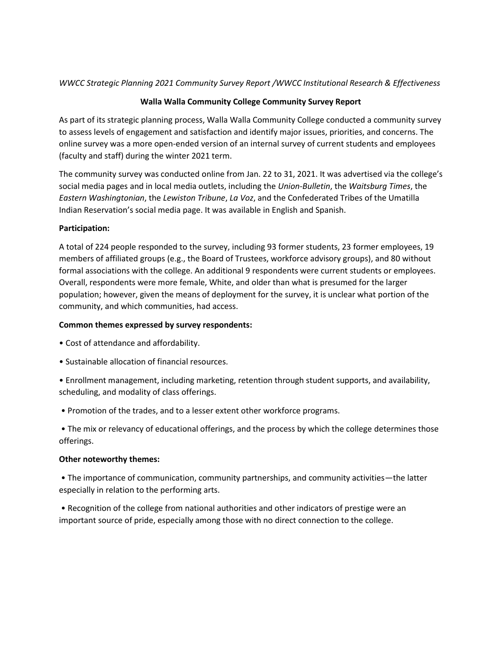## *WWCC Strategic Planning 2021 Community Survey Report /WWCC Institutional Research & Effectiveness*

# **Walla Walla Community College Community Survey Report**

As part of its strategic planning process, Walla Walla Community College conducted a community survey to assess levels of engagement and satisfaction and identify major issues, priorities, and concerns. The online survey was a more open-ended version of an internal survey of current students and employees (faculty and staff) during the winter 2021 term.

The community survey was conducted online from Jan. 22 to 31, 2021. It was advertised via the college's social media pages and in local media outlets, including the *Union-Bulletin*, the *Waitsburg Times*, the *Eastern Washingtonian*, the *Lewiston Tribune*, *La Voz*, and the Confederated Tribes of the Umatilla Indian Reservation's social media page. It was available in English and Spanish.

## **Participation:**

A total of 224 people responded to the survey, including 93 former students, 23 former employees, 19 members of affiliated groups (e.g., the Board of Trustees, workforce advisory groups), and 80 without formal associations with the college. An additional 9 respondents were current students or employees. Overall, respondents were more female, White, and older than what is presumed for the larger population; however, given the means of deployment for the survey, it is unclear what portion of the community, and which communities, had access.

## **Common themes expressed by survey respondents:**

- Cost of attendance and affordability.
- Sustainable allocation of financial resources.
- Enrollment management, including marketing, retention through student supports, and availability, scheduling, and modality of class offerings.
- Promotion of the trades, and to a lesser extent other workforce programs.

• The mix or relevancy of educational offerings, and the process by which the college determines those offerings.

### **Other noteworthy themes:**

• The importance of communication, community partnerships, and community activities—the latter especially in relation to the performing arts.

• Recognition of the college from national authorities and other indicators of prestige were an important source of pride, especially among those with no direct connection to the college.